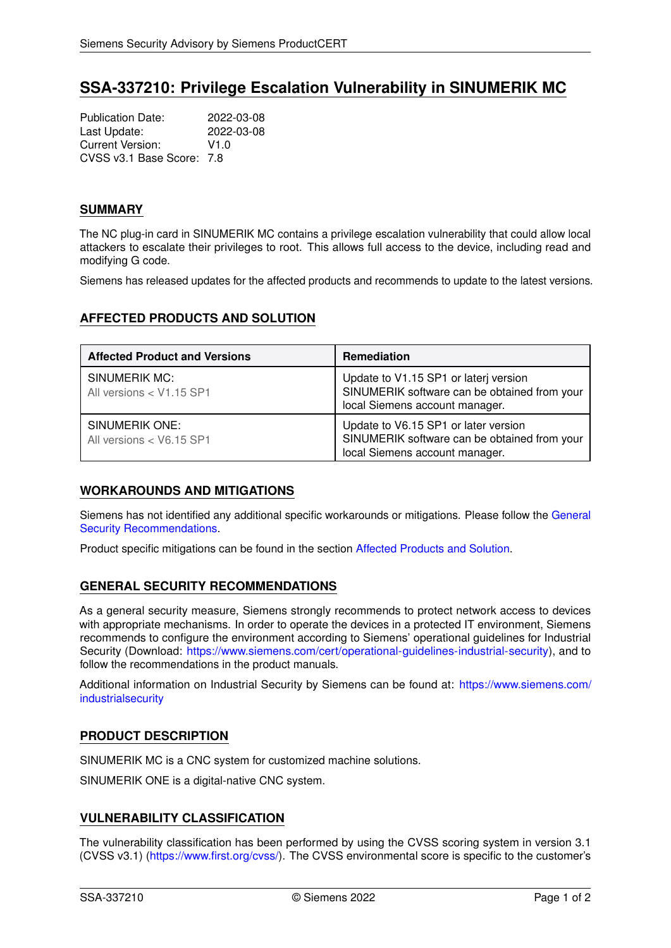# **SSA-337210: Privilege Escalation Vulnerability in SINUMERIK MC**

Publication Date: 2022-03-08 Last Update: Current Version: V1.0 CVSS v3.1 Base Score: 7.8

### **SUMMARY**

The NC plug-in card in SINUMERIK MC contains a privilege escalation vulnerability that could allow local attackers to escalate their privileges to root. This allows full access to the device, including read and modifying G code.

<span id="page-0-1"></span>Siemens has released updates for the affected products and recommends to update to the latest versions.

## **AFFECTED PRODUCTS AND SOLUTION**

| <b>Affected Product and Versions</b>       | <b>Remediation</b>                                                                                                      |
|--------------------------------------------|-------------------------------------------------------------------------------------------------------------------------|
| SINUMERIK MC:<br>All versions < V1.15 SP1  | Update to V1.15 SP1 or laterj version<br>SINUMERIK software can be obtained from your<br>local Siemens account manager. |
| SINUMERIK ONE:<br>All versions < V6.15 SP1 | Update to V6.15 SP1 or later version<br>SINUMERIK software can be obtained from your<br>local Siemens account manager.  |

## **WORKAROUNDS AND MITIGATIONS**

Siemens has not identified any additional specific workarounds or mitigations. Please follow the [General](#page-0-0) [Security Recommendations.](#page-0-0)

<span id="page-0-0"></span>Product specific mitigations can be found in the section [Affected Products and Solution.](#page-0-1)

## **GENERAL SECURITY RECOMMENDATIONS**

As a general security measure, Siemens strongly recommends to protect network access to devices with appropriate mechanisms. In order to operate the devices in a protected IT environment, Siemens recommends to configure the environment according to Siemens' operational guidelines for Industrial Security (Download: [https://www.siemens.com/cert/operational-guidelines-industrial-security\)](https://www.siemens.com/cert/operational-guidelines-industrial-security), and to follow the recommendations in the product manuals.

Additional information on Industrial Security by Siemens can be found at: [https://www.siemens.com/](https://www.siemens.com/industrialsecurity) [industrialsecurity](https://www.siemens.com/industrialsecurity)

## **PRODUCT DESCRIPTION**

SINUMERIK MC is a CNC system for customized machine solutions.

SINUMERIK ONE is a digital-native CNC system.

#### **VULNERABILITY CLASSIFICATION**

The vulnerability classification has been performed by using the CVSS scoring system in version 3.1 (CVSS v3.1) [\(https://www.first.org/cvss/\)](https://www.first.org/cvss/). The CVSS environmental score is specific to the customer's